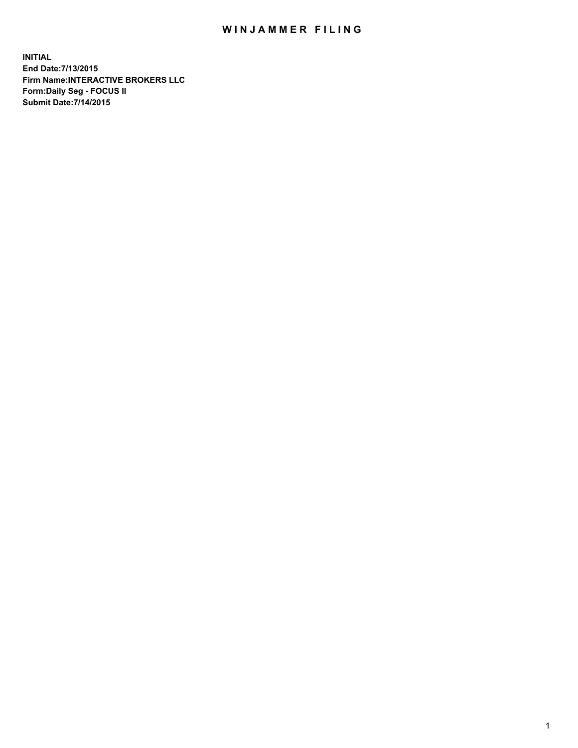## WIN JAMMER FILING

**INITIAL End Date:7/13/2015 Firm Name:INTERACTIVE BROKERS LLC Form:Daily Seg - FOCUS II Submit Date:7/14/2015**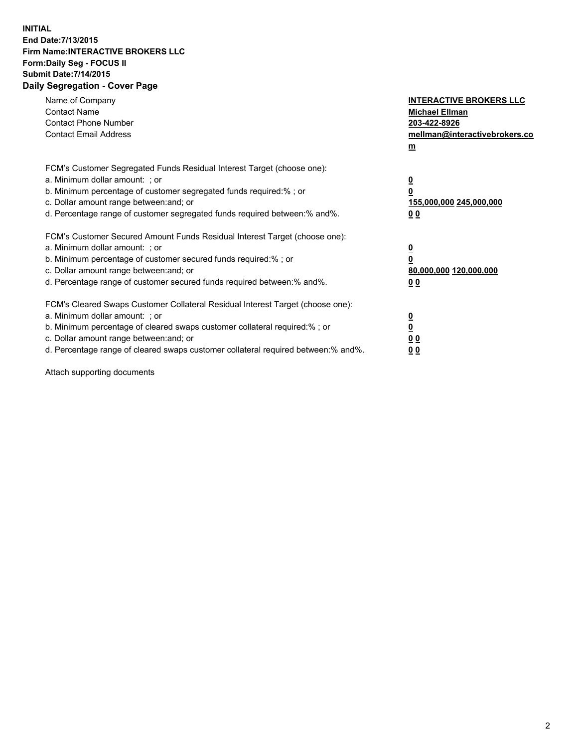## **INITIAL End Date:7/13/2015 Firm Name:INTERACTIVE BROKERS LLC Form:Daily Seg - FOCUS II Submit Date:7/14/2015 Daily Segregation - Cover Page**

| Name of Company<br><b>Contact Name</b><br><b>Contact Phone Number</b><br><b>Contact Email Address</b>                                                                                                                                                                                                                          | <b>INTERACTIVE BROKERS LLC</b><br><b>Michael Ellman</b><br>203-422-8926<br>mellman@interactivebrokers.co<br>$m$ |
|--------------------------------------------------------------------------------------------------------------------------------------------------------------------------------------------------------------------------------------------------------------------------------------------------------------------------------|-----------------------------------------------------------------------------------------------------------------|
| FCM's Customer Segregated Funds Residual Interest Target (choose one):<br>a. Minimum dollar amount: ; or<br>b. Minimum percentage of customer segregated funds required:% ; or<br>c. Dollar amount range between: and; or<br>d. Percentage range of customer segregated funds required between: % and %.                       | $\overline{\mathbf{0}}$<br>0<br>155,000,000 245,000,000<br>00                                                   |
| FCM's Customer Secured Amount Funds Residual Interest Target (choose one):<br>a. Minimum dollar amount: ; or<br>b. Minimum percentage of customer secured funds required:%; or<br>c. Dollar amount range between: and; or<br>d. Percentage range of customer secured funds required between: % and %.                          | $\overline{\mathbf{0}}$<br>0<br>80,000,000 120,000,000<br>0 <sub>0</sub>                                        |
| FCM's Cleared Swaps Customer Collateral Residual Interest Target (choose one):<br>a. Minimum dollar amount: ; or<br>b. Minimum percentage of cleared swaps customer collateral required:% ; or<br>c. Dollar amount range between: and; or<br>d. Percentage range of cleared swaps customer collateral required between:% and%. | $\overline{\mathbf{0}}$<br>$\underline{\mathbf{0}}$<br>0 <sub>0</sub><br>0 <sub>0</sub>                         |

Attach supporting documents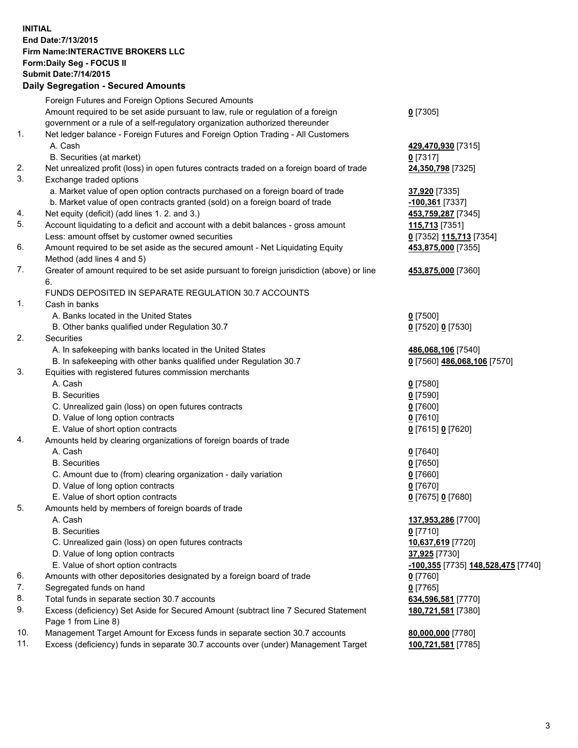## **INITIAL End Date:7/13/2015 Firm Name:INTERACTIVE BROKERS LLC Form:Daily Seg - FOCUS II Submit Date:7/14/2015 Daily Segregation - Secured Amounts**

|                | Daily Jegregation - Jeculed Aniounts                                                                       |                                    |
|----------------|------------------------------------------------------------------------------------------------------------|------------------------------------|
|                | Foreign Futures and Foreign Options Secured Amounts                                                        |                                    |
|                | Amount required to be set aside pursuant to law, rule or regulation of a foreign                           | $0$ [7305]                         |
|                | government or a rule of a self-regulatory organization authorized thereunder                               |                                    |
| 1.             | Net ledger balance - Foreign Futures and Foreign Option Trading - All Customers                            |                                    |
|                | A. Cash                                                                                                    | 429,470,930 [7315]                 |
|                | B. Securities (at market)                                                                                  | $0$ [7317]                         |
| 2.             | Net unrealized profit (loss) in open futures contracts traded on a foreign board of trade                  | 24,350,798 [7325]                  |
| 3.             | Exchange traded options                                                                                    |                                    |
|                | a. Market value of open option contracts purchased on a foreign board of trade                             | 37,920 [7335]                      |
|                | b. Market value of open contracts granted (sold) on a foreign board of trade                               | -100,361 [7337]                    |
| 4.             | Net equity (deficit) (add lines 1. 2. and 3.)                                                              | 453,759,287 [7345]                 |
| 5.             | Account liquidating to a deficit and account with a debit balances - gross amount                          | 115,713 [7351]                     |
|                | Less: amount offset by customer owned securities                                                           | 0 [7352] 115,713 [7354]            |
| 6.             | Amount required to be set aside as the secured amount - Net Liquidating Equity                             | 453,875,000 [7355]                 |
|                | Method (add lines 4 and 5)                                                                                 |                                    |
| 7.             | Greater of amount required to be set aside pursuant to foreign jurisdiction (above) or line                | 453,875,000 [7360]                 |
|                | 6.                                                                                                         |                                    |
|                | FUNDS DEPOSITED IN SEPARATE REGULATION 30.7 ACCOUNTS                                                       |                                    |
| $\mathbf{1}$ . | Cash in banks                                                                                              |                                    |
|                | A. Banks located in the United States                                                                      | $0$ [7500]                         |
|                | B. Other banks qualified under Regulation 30.7                                                             | 0 [7520] 0 [7530]                  |
| 2.             | Securities                                                                                                 |                                    |
|                | A. In safekeeping with banks located in the United States                                                  | 486,068,106 [7540]                 |
|                | B. In safekeeping with other banks qualified under Regulation 30.7                                         | 0 [7560] 486,068,106 [7570]        |
| 3.             | Equities with registered futures commission merchants                                                      |                                    |
|                | A. Cash                                                                                                    | $0$ [7580]                         |
|                | <b>B.</b> Securities                                                                                       | $0$ [7590]                         |
|                | C. Unrealized gain (loss) on open futures contracts                                                        | $0$ [7600]                         |
|                | D. Value of long option contracts                                                                          | $0$ [7610]                         |
|                | E. Value of short option contracts                                                                         | 0 [7615] 0 [7620]                  |
| 4.             | Amounts held by clearing organizations of foreign boards of trade                                          |                                    |
|                | A. Cash                                                                                                    | $0$ [7640]                         |
|                | <b>B.</b> Securities                                                                                       | $0$ [7650]                         |
|                | C. Amount due to (from) clearing organization - daily variation                                            | $0$ [7660]                         |
|                | D. Value of long option contracts                                                                          | $0$ [7670]                         |
|                | E. Value of short option contracts                                                                         | 0 [7675] 0 [7680]                  |
| 5.             | Amounts held by members of foreign boards of trade                                                         |                                    |
|                | A. Cash                                                                                                    | 137,953,286 [7700]                 |
|                | <b>B.</b> Securities                                                                                       | $0$ [7710]                         |
|                | C. Unrealized gain (loss) on open futures contracts                                                        | 10,637,619 [7720]                  |
|                | D. Value of long option contracts                                                                          | 37,925 [7730]                      |
|                | E. Value of short option contracts                                                                         | -100,355 [7735] 148,528,475 [7740] |
| 6.             | Amounts with other depositories designated by a foreign board of trade                                     | 0 [7760]                           |
| 7.             | Segregated funds on hand                                                                                   | $0$ [7765]                         |
| 8.             | Total funds in separate section 30.7 accounts                                                              | 634,596,581 [7770]                 |
| 9.             | Excess (deficiency) Set Aside for Secured Amount (subtract line 7 Secured Statement<br>Page 1 from Line 8) | 180,721,581 [7380]                 |
| 10.            | Management Target Amount for Excess funds in separate section 30.7 accounts                                | 80,000,000 [7780]                  |
| 11.            | Excess (deficiency) funds in separate 30.7 accounts over (under) Management Target                         | 100,721,581 [7785]                 |
|                |                                                                                                            |                                    |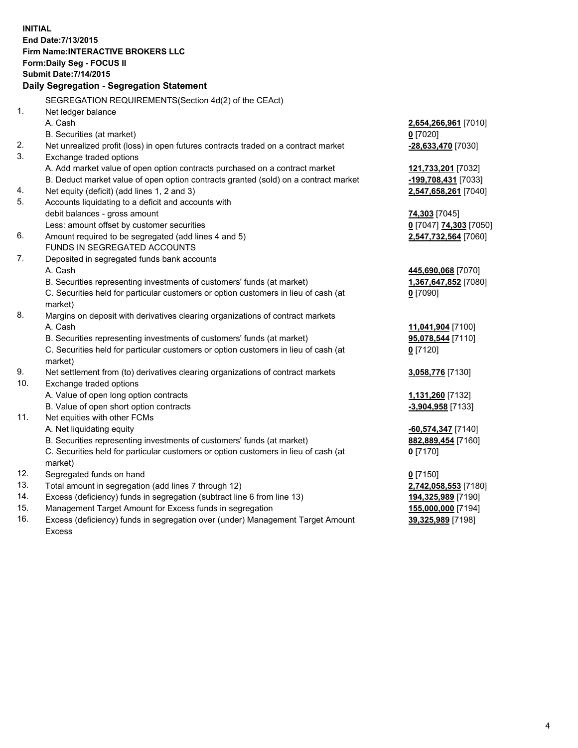**INITIAL End Date:7/13/2015 Firm Name:INTERACTIVE BROKERS LLC Form:Daily Seg - FOCUS II Submit Date:7/14/2015 Daily Segregation - Segregation Statement** SEGREGATION REQUIREMENTS(Section 4d(2) of the CEAct) 1. Net ledger balance A. Cash **2,654,266,961** [7010] B. Securities (at market) **0** [7020] 2. Net unrealized profit (loss) in open futures contracts traded on a contract market **-28,633,470** [7030] 3. Exchange traded options A. Add market value of open option contracts purchased on a contract market **121,733,201** [7032] B. Deduct market value of open option contracts granted (sold) on a contract market **-199,708,431** [7033] 4. Net equity (deficit) (add lines 1, 2 and 3) **2,547,658,261** [7040] 5. Accounts liquidating to a deficit and accounts with debit balances - gross amount **74,303** [7045] Less: amount offset by customer securities **0** [7047] **74,303** [7050] 6. Amount required to be segregated (add lines 4 and 5) **2,547,732,564** [7060] FUNDS IN SEGREGATED ACCOUNTS 7. Deposited in segregated funds bank accounts A. Cash **445,690,068** [7070] B. Securities representing investments of customers' funds (at market) **1,367,647,852** [7080] C. Securities held for particular customers or option customers in lieu of cash (at market) **0** [7090] 8. Margins on deposit with derivatives clearing organizations of contract markets A. Cash **11,041,904** [7100] B. Securities representing investments of customers' funds (at market) **95,078,544** [7110] C. Securities held for particular customers or option customers in lieu of cash (at market) **0** [7120] 9. Net settlement from (to) derivatives clearing organizations of contract markets **3,058,776** [7130] 10. Exchange traded options A. Value of open long option contracts **1,131,260** [7132] B. Value of open short option contracts **-3,904,958** [7133] 11. Net equities with other FCMs A. Net liquidating equity **-60,574,347** [7140] B. Securities representing investments of customers' funds (at market) **882,889,454** [7160] C. Securities held for particular customers or option customers in lieu of cash (at market) **0** [7170] 12. Segregated funds on hand **0** [7150] 13. Total amount in segregation (add lines 7 through 12) **2,742,058,553** [7180] 14. Excess (deficiency) funds in segregation (subtract line 6 from line 13) **194,325,989** [7190] 15. Management Target Amount for Excess funds in segregation **155,000,000** [7194]

16. Excess (deficiency) funds in segregation over (under) Management Target Amount Excess

**39,325,989** [7198]